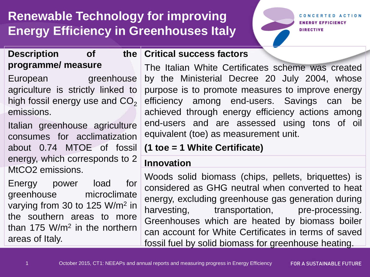## **Renewable Technology for improving Energy Efficiency in Greenhouses Italy**

CONCERTED ACTION **ENERGY EFFICIENCY DIRECTIVE** 

### **Description** of **programme/ measure**

European greenhouse agriculture is strictly linked to high fossil energy use and  $CO<sub>2</sub>$ emissions.

Italian greenhouse agriculture consumes for acclimatization about 0.74 MTOE of fossil energy, which corresponds to 2 MtCO2 emissions.

Energy power load for greenhouse microclimate varying from 30 to 125 W/m<sup>2</sup> in the southern areas to more than 175 W/m<sup>2</sup> in the northern areas of Italy.

#### **Critical success factors**

The Italian White Certificates scheme was created by the Ministerial Decree 20 July 2004, whose purpose is to promote measures to improve energy efficiency among end-users. Savings can be achieved through energy efficiency actions among end-users and are assessed using tons of oil equivalent (toe) as measurement unit.

## **(1 toe = 1 White Certificate)**

## **Innovation**

Woods solid biomass (chips, pellets, briquettes) is considered as GHG neutral when converted to heat energy, excluding greenhouse gas generation during harvesting, transportation, pre-processing. Greenhouses which are heated by biomass boiler can account for White Certificates in terms of saved fossil fuel by solid biomass for greenhouse heating.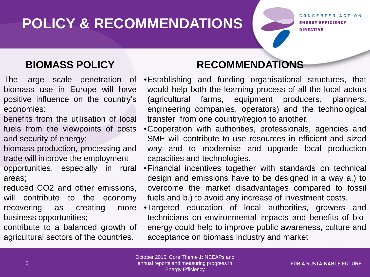# **POLICY & RECOMMENDATIONS**

CONCERTED ACTION **ENERGY EFFICIENCY DIRECTIVE** 

The large scale penetration of biomass use in Europe will have positive influence on the country's economies:

benefits from the utilisation of local fuels from the viewpoints of costs and security of energy;

biomass production, processing and trade will improve the employment opportunities, especially in rural areas;

reduced CO2 and other emissions, will contribute to the economy recovering as creating more business opportunities;

contribute to a balanced growth of agricultural sectors of the countries.

## **BIOMASS POLICY RECOMMENDATIONS**

- •Establishing and funding organisational structures, that would help both the learning process of all the local actors (agricultural farms, equipment producers, planners, engineering companies, operators) and the technological transfer from one country/region to another.
- •Cooperation with authorities, professionals, agencies and SME will contribute to use resources in efficient and sized way and to modernise and upgrade local production capacities and technologies.
- •Financial incentives together with standards on technical design and emissions have to be designed in a way a.) to overcome the market disadvantages compared to fossil fuels and b.) to avoid any increase of investment costs.
- •Targeted education of local authorities, growers and technicians on environmental impacts and benefits of bioenergy could help to improve public awareness, culture and acceptance on biomass industry and market